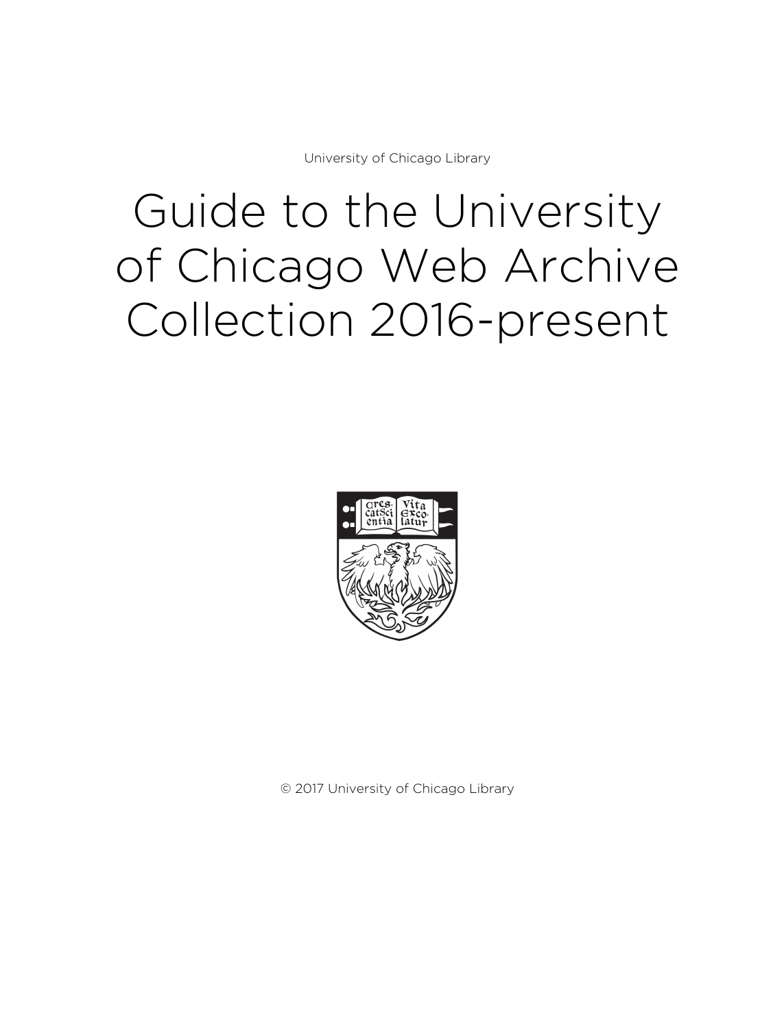University of Chicago Library

# Guide to the University of Chicago Web Archive Collection 2016-present



© 2017 University of Chicago Library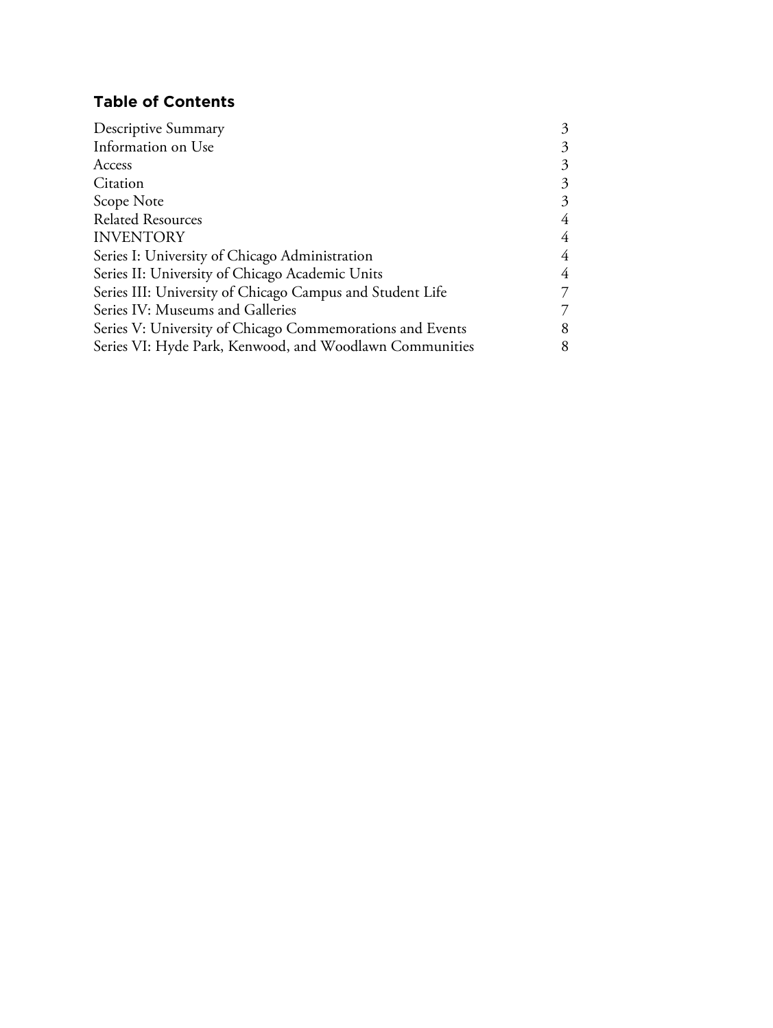## **Table of Contents**

| Descriptive Summary                                       | 3 |
|-----------------------------------------------------------|---|
| Information on Use                                        | 3 |
| Access                                                    | 3 |
| Citation                                                  | 3 |
| Scope Note                                                | 3 |
| <b>Related Resources</b>                                  | 4 |
| <b>INVENTORY</b>                                          | 4 |
| Series I: University of Chicago Administration            | 4 |
| Series II: University of Chicago Academic Units           | 4 |
| Series III: University of Chicago Campus and Student Life | 7 |
| Series IV: Museums and Galleries                          | 7 |
| Series V: University of Chicago Commemorations and Events | 8 |
| Series VI: Hyde Park, Kenwood, and Woodlawn Communities   | 8 |
|                                                           |   |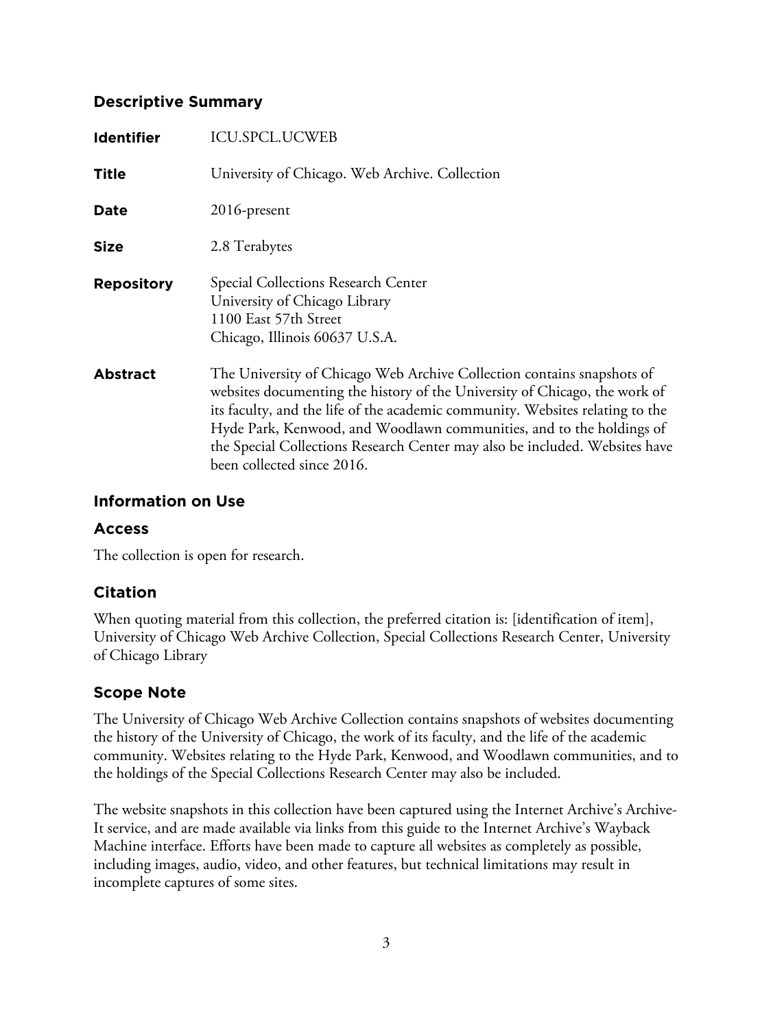## **Descriptive Summary**

| <b>Identifier</b> | <b>ICU.SPCL.UCWEB</b>                                                                                                                                                                                                                                                                                                                                                                                                      |
|-------------------|----------------------------------------------------------------------------------------------------------------------------------------------------------------------------------------------------------------------------------------------------------------------------------------------------------------------------------------------------------------------------------------------------------------------------|
| <b>Title</b>      | University of Chicago. Web Archive. Collection                                                                                                                                                                                                                                                                                                                                                                             |
| Date              | 2016-present                                                                                                                                                                                                                                                                                                                                                                                                               |
| <b>Size</b>       | 2.8 Terabytes                                                                                                                                                                                                                                                                                                                                                                                                              |
| <b>Repository</b> | Special Collections Research Center<br>University of Chicago Library<br>1100 East 57th Street<br>Chicago, Illinois 60637 U.S.A.                                                                                                                                                                                                                                                                                            |
| <b>Abstract</b>   | The University of Chicago Web Archive Collection contains snapshots of<br>websites documenting the history of the University of Chicago, the work of<br>its faculty, and the life of the academic community. Websites relating to the<br>Hyde Park, Kenwood, and Woodlawn communities, and to the holdings of<br>the Special Collections Research Center may also be included. Websites have<br>been collected since 2016. |

#### **Information on Use**

#### **Access**

The collection is open for research.

## **Citation**

When quoting material from this collection, the preferred citation is: [identification of item], University of Chicago Web Archive Collection, Special Collections Research Center, University of Chicago Library

## **Scope Note**

The University of Chicago Web Archive Collection contains snapshots of websites documenting the history of the University of Chicago, the work of its faculty, and the life of the academic community. Websites relating to the Hyde Park, Kenwood, and Woodlawn communities, and to the holdings of the Special Collections Research Center may also be included.

The website snapshots in this collection have been captured using the Internet Archive's Archive-It service, and are made available via links from this guide to the Internet Archive's Wayback Machine interface. Efforts have been made to capture all websites as completely as possible, including images, audio, video, and other features, but technical limitations may result in incomplete captures of some sites.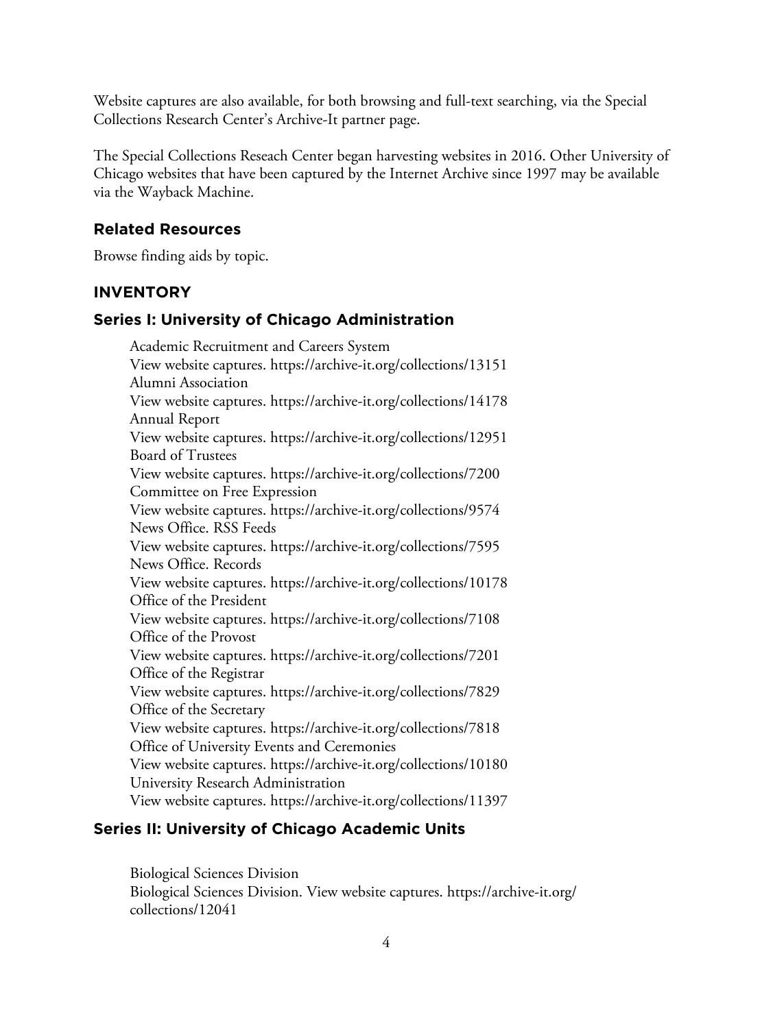Website captures are also available, for both browsing and full-text searching, via the Special Collections Research Center's Archive-It partner page.

The Special Collections Reseach Center began harvesting websites in 2016. Other University of Chicago websites that have been captured by the Internet Archive since 1997 may be available via the Wayback Machine.

#### **Related Resources**

Browse finding aids by topic.

#### **INVENTORY**

#### **Series I: University of Chicago Administration**

Academic Recruitment and Careers System View website captures.<https://archive-it.org/collections/13151> Alumni Association View website captures.<https://archive-it.org/collections/14178> Annual Report View website captures.<https://archive-it.org/collections/12951> Board of Trustees View website captures.<https://archive-it.org/collections/7200> Committee on Free Expression View website captures.<https://archive-it.org/collections/9574> News Office. RSS Feeds View website captures.<https://archive-it.org/collections/7595> News Office. Records View website captures.<https://archive-it.org/collections/10178> Office of the President View website captures.<https://archive-it.org/collections/7108> Office of the Provost View website captures.<https://archive-it.org/collections/7201> Office of the Registrar View website captures.<https://archive-it.org/collections/7829> Office of the Secretary View website captures.<https://archive-it.org/collections/7818> Office of University Events and Ceremonies View website captures.<https://archive-it.org/collections/10180> University Research Administration View website captures.<https://archive-it.org/collections/11397>

#### **Series II: University of Chicago Academic Units**

Biological Sciences Division Biological Sciences Division. View website captures. [https://archive-it.org/](https://archive-it.org/collections/12041) [collections/12041](https://archive-it.org/collections/12041)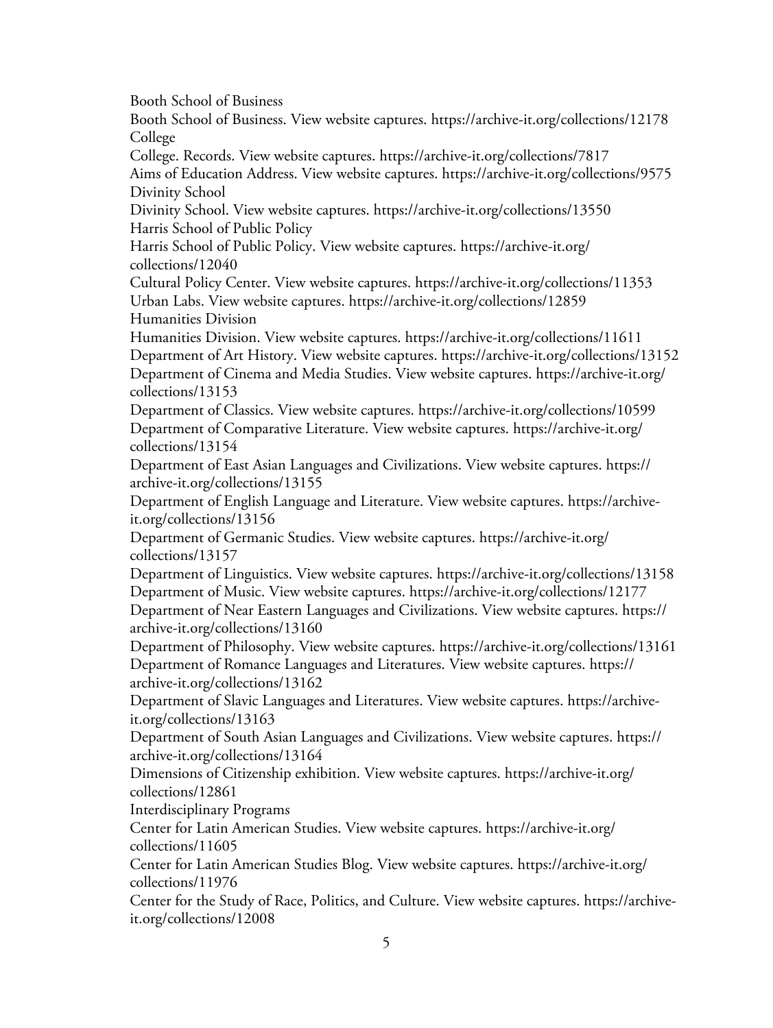Booth School of Business

Booth School of Business. View website captures. <https://archive-it.org/collections/12178> College

College. Records. View website captures.<https://archive-it.org/collections/7817>

Aims of Education Address. View website captures.<https://archive-it.org/collections/9575> Divinity School

Divinity School. View website captures. <https://archive-it.org/collections/13550> Harris School of Public Policy

Harris School of Public Policy. View website captures. [https://archive-it.org/](https://archive-it.org/collections/12040) [collections/12040](https://archive-it.org/collections/12040)

Cultural Policy Center. View website captures. <https://archive-it.org/collections/11353> Urban Labs. View website captures. <https://archive-it.org/collections/12859> Humanities Division

Humanities Division. View website captures. <https://archive-it.org/collections/11611> Department of Art History. View website captures. <https://archive-it.org/collections/13152> Department of Cinema and Media Studies. View website captures. [https://archive-it.org/](https://archive-it.org/collections/13153) [collections/13153](https://archive-it.org/collections/13153)

Department of Classics. View website captures. <https://archive-it.org/collections/10599> Department of Comparative Literature. View website captures. [https://archive-it.org/](https://archive-it.org/collections/13154) [collections/13154](https://archive-it.org/collections/13154)

Department of East Asian Languages and Civilizations. View website captures. [https://](https://archive-it.org/collections/13155) [archive-it.org/collections/13155](https://archive-it.org/collections/13155)

Department of English Language and Literature. View website captures. [https://archive](https://archive-it.org/collections/13156)[it.org/collections/13156](https://archive-it.org/collections/13156)

Department of Germanic Studies. View website captures. [https://archive-it.org/](https://archive-it.org/collections/13157) [collections/13157](https://archive-it.org/collections/13157)

Department of Linguistics. View website captures.<https://archive-it.org/collections/13158> Department of Music. View website captures.<https://archive-it.org/collections/12177> Department of Near Eastern Languages and Civilizations. View website captures. [https://](https://archive-it.org/collections/13160) [archive-it.org/collections/13160](https://archive-it.org/collections/13160)

Department of Philosophy. View website captures.<https://archive-it.org/collections/13161> Department of Romance Languages and Literatures. View website captures. [https://](https://archive-it.org/collections/13162) [archive-it.org/collections/13162](https://archive-it.org/collections/13162)

Department of Slavic Languages and Literatures. View website captures. [https://archive](https://archive-it.org/collections/13163)[it.org/collections/13163](https://archive-it.org/collections/13163)

Department of South Asian Languages and Civilizations. View website captures. [https://](https://archive-it.org/collections/13164) [archive-it.org/collections/13164](https://archive-it.org/collections/13164)

Dimensions of Citizenship exhibition. View website captures. [https://archive-it.org/](https://archive-it.org/collections/12861) [collections/12861](https://archive-it.org/collections/12861)

Interdisciplinary Programs

Center for Latin American Studies. View website captures. [https://archive-it.org/](https://archive-it.org/collections/11605) [collections/11605](https://archive-it.org/collections/11605)

Center for Latin American Studies Blog. View website captures. [https://archive-it.org/](https://archive-it.org/collections/11976) [collections/11976](https://archive-it.org/collections/11976)

Center for the Study of Race, Politics, and Culture. View website captures. [https://archive](https://archive-it.org/collections/12008)[it.org/collections/12008](https://archive-it.org/collections/12008)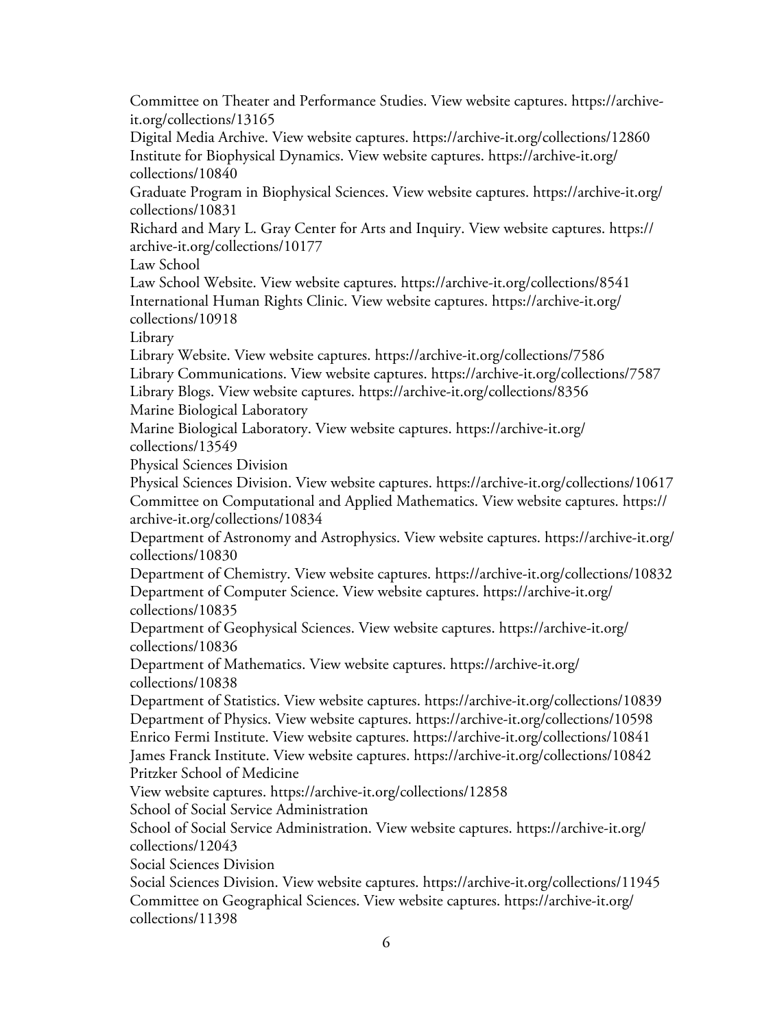Committee on Theater and Performance Studies. View website captures. [https://archive](https://archive-it.org/collections/13165)[it.org/collections/13165](https://archive-it.org/collections/13165)

Digital Media Archive. View website captures. <https://archive-it.org/collections/12860> Institute for Biophysical Dynamics. View website captures. [https://archive-it.org/](https://archive-it.org/collections/10840) [collections/10840](https://archive-it.org/collections/10840)

Graduate Program in Biophysical Sciences. View website captures. [https://archive-it.org/](https://archive-it.org/collections/10831) [collections/10831](https://archive-it.org/collections/10831)

Richard and Mary L. Gray Center for Arts and Inquiry. View website captures. [https://](https://archive-it.org/collections/10177) [archive-it.org/collections/10177](https://archive-it.org/collections/10177)

Law School

Law School Website. View website captures. <https://archive-it.org/collections/8541> International Human Rights Clinic. View website captures. [https://archive-it.org/](https://archive-it.org/collections/10918) [collections/10918](https://archive-it.org/collections/10918)

Library

Library Website. View website captures. <https://archive-it.org/collections/7586> Library Communications. View website captures. <https://archive-it.org/collections/7587> Library Blogs. View website captures.<https://archive-it.org/collections/8356>

Marine Biological Laboratory

Marine Biological Laboratory. View website captures. [https://archive-it.org/](https://archive-it.org/collections/13549) [collections/13549](https://archive-it.org/collections/13549)

Physical Sciences Division

Physical Sciences Division. View website captures. <https://archive-it.org/collections/10617> Committee on Computational and Applied Mathematics. View website captures. [https://](https://archive-it.org/collections/10834) [archive-it.org/collections/10834](https://archive-it.org/collections/10834)

Department of Astronomy and Astrophysics. View website captures. [https://archive-it.org/](https://archive-it.org/collections/10830) [collections/10830](https://archive-it.org/collections/10830)

Department of Chemistry. View website captures. <https://archive-it.org/collections/10832> Department of Computer Science. View website captures. [https://archive-it.org/](https://archive-it.org/collections/10835) [collections/10835](https://archive-it.org/collections/10835)

Department of Geophysical Sciences. View website captures. [https://archive-it.org/](https://archive-it.org/collections/10836) [collections/10836](https://archive-it.org/collections/10836)

Department of Mathematics. View website captures. [https://archive-it.org/](https://archive-it.org/collections/10838) [collections/10838](https://archive-it.org/collections/10838)

Department of Statistics. View website captures. <https://archive-it.org/collections/10839> Department of Physics. View website captures. <https://archive-it.org/collections/10598> Enrico Fermi Institute. View website captures.<https://archive-it.org/collections/10841> James Franck Institute. View website captures. <https://archive-it.org/collections/10842> Pritzker School of Medicine

View website captures.<https://archive-it.org/collections/12858>

School of Social Service Administration

School of Social Service Administration. View website captures. [https://archive-it.org/](https://archive-it.org/collections/12043) [collections/12043](https://archive-it.org/collections/12043)

Social Sciences Division

Social Sciences Division. View website captures. <https://archive-it.org/collections/11945> Committee on Geographical Sciences. View website captures. [https://archive-it.org/](https://archive-it.org/collections/11398) [collections/11398](https://archive-it.org/collections/11398)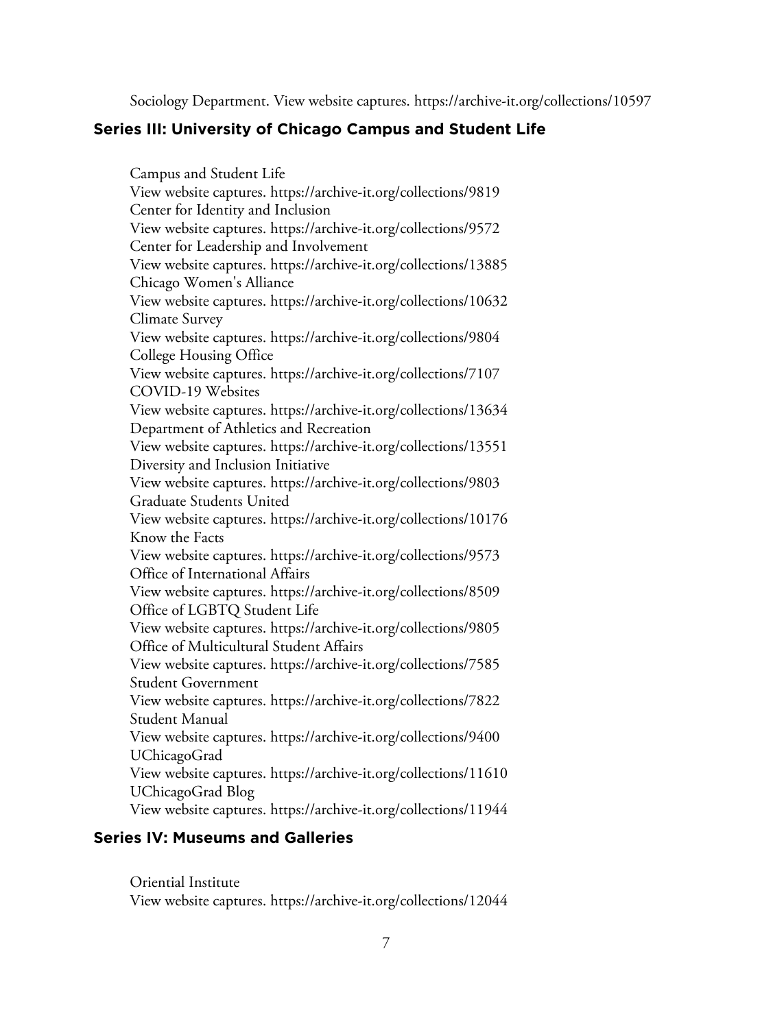Sociology Department. View website captures. <https://archive-it.org/collections/10597>

#### **Series III: University of Chicago Campus and Student Life**

Campus and Student Life View website captures.<https://archive-it.org/collections/9819> Center for Identity and Inclusion View website captures.<https://archive-it.org/collections/9572> Center for Leadership and Involvement View website captures.<https://archive-it.org/collections/13885> Chicago Women's Alliance View website captures.<https://archive-it.org/collections/10632> Climate Survey View website captures.<https://archive-it.org/collections/9804> College Housing Office View website captures.<https://archive-it.org/collections/7107> COVID-19 Websites View website captures.<https://archive-it.org/collections/13634> Department of Athletics and Recreation View website captures.<https://archive-it.org/collections/13551> Diversity and Inclusion Initiative View website captures.<https://archive-it.org/collections/9803> Graduate Students United View website captures.<https://archive-it.org/collections/10176> Know the Facts View website captures.<https://archive-it.org/collections/9573> Office of International Affairs View website captures.<https://archive-it.org/collections/8509> Office of LGBTQ Student Life View website captures.<https://archive-it.org/collections/9805> Office of Multicultural Student Affairs View website captures.<https://archive-it.org/collections/7585> Student Government View website captures.<https://archive-it.org/collections/7822> Student Manual View website captures.<https://archive-it.org/collections/9400> UChicagoGrad View website captures.<https://archive-it.org/collections/11610> UChicagoGrad Blog View website captures.<https://archive-it.org/collections/11944>

## **Series IV: Museums and Galleries**

Oriential Institute View website captures.<https://archive-it.org/collections/12044>